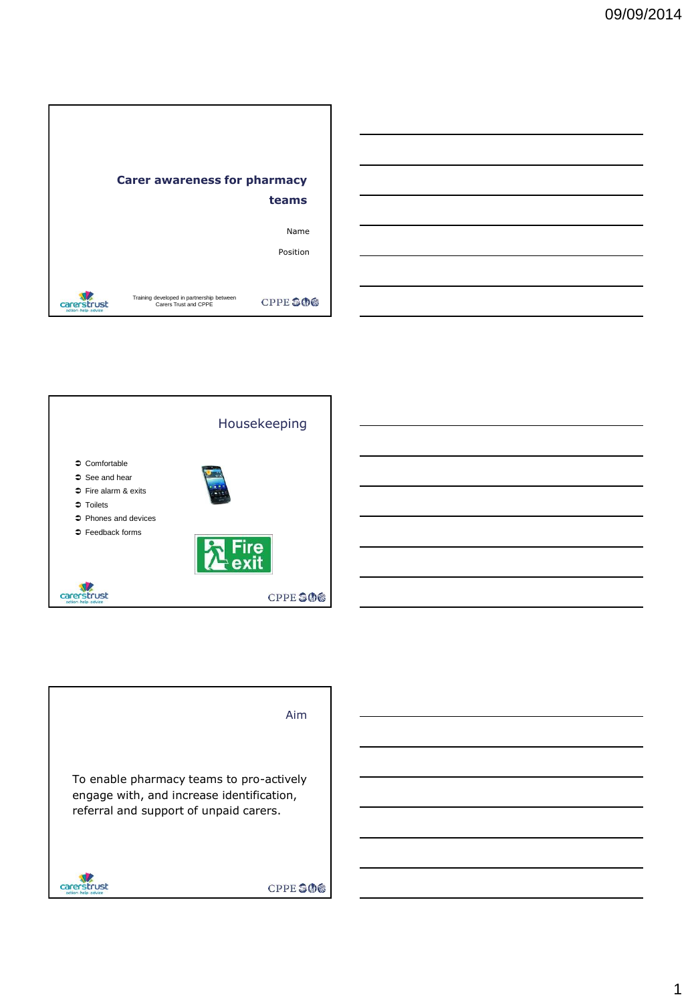



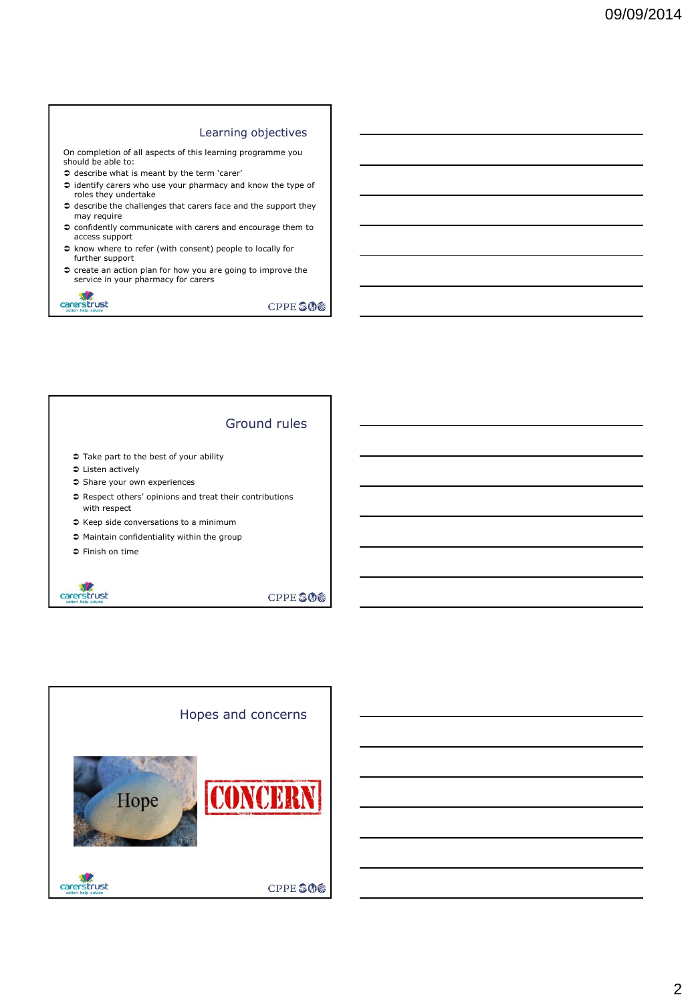#### Learning objectives

On completion of all aspects of this learning programme you should be able to:

- $\Rightarrow$  describe what is meant by the term 'carer'
- $\heartsuit$  identify carers who use your pharmacy and know the type of roles they undertake
- $\supset$  describe the challenges that carers face and the support they may require
- confidently communicate with carers and encourage them to access support
- know where to refer (with consent) people to locally for further support
- $\heartsuit$  create an action plan for how you are going to improve the service in your pharmacy for carers



CPPE SOS

# Ground rules

- $\heartsuit$  Take part to the best of your ability
- Listen actively
- $\heartsuit$  Share your own experiences
- $\supset$  Respect others' opinions and treat their contributions with respect
- Keep side conversations to a minimum
- Maintain confidentiality within the group
- Finish on time



**CPPE SOS** 

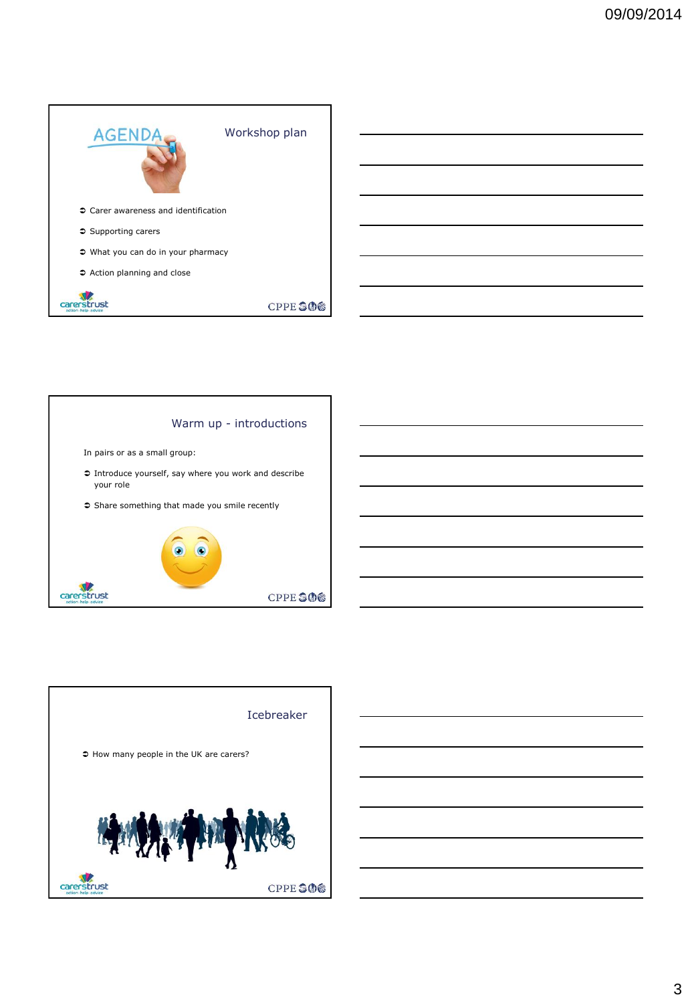





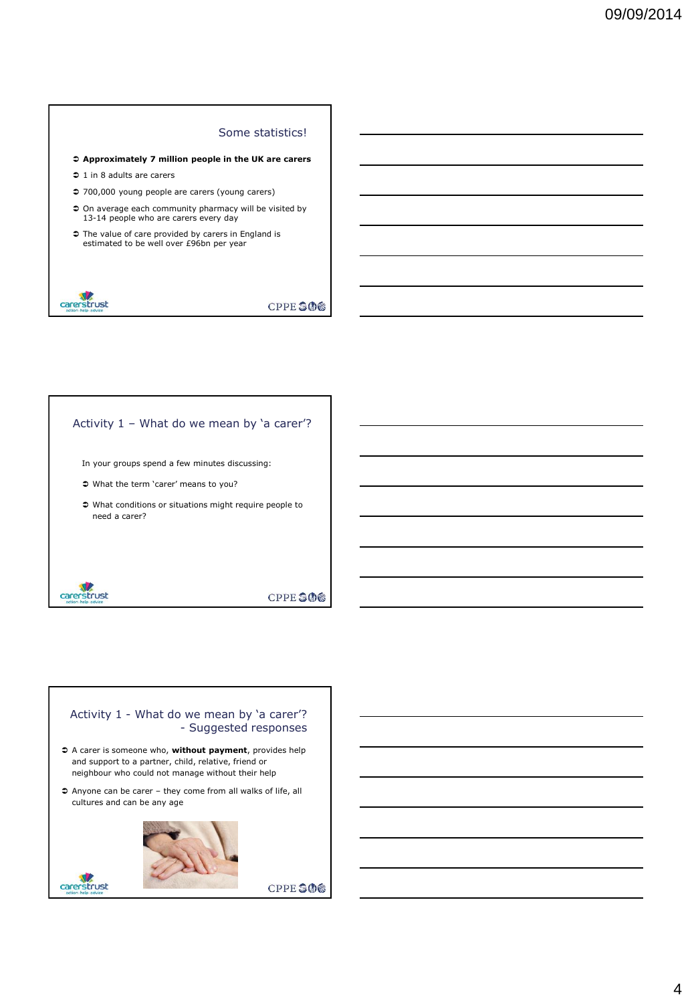#### Some statistics!

- **Approximately 7 million people in the UK are carers**
- $\supset$  1 in 8 adults are carers
- 700,000 young people are carers (young carers)
- On average each community pharmacy will be visited by 13-14 people who are carers every day
- $\supset$  The value of care provided by carers in England is estimated to be well over £96bn per year



carerstrust

**CPPESOS** 

## Activity 1 – What do we mean by 'a carer'?

- In your groups spend a few minutes discussing:
- What the term 'carer' means to you?
- What conditions or situations might require people to need a carer?



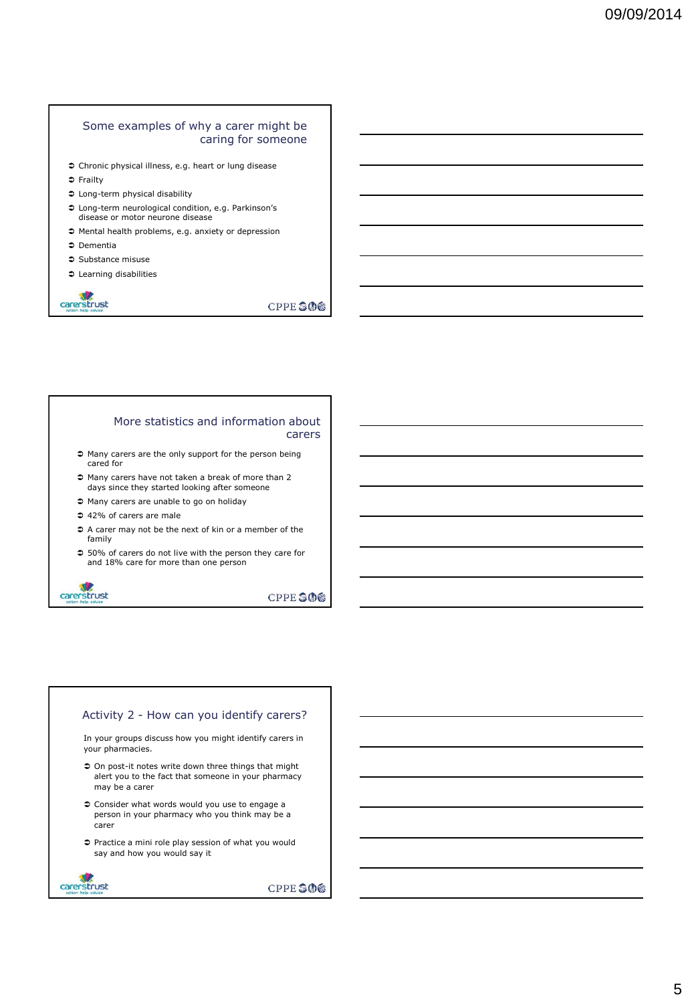#### Some examples of why a carer might be caring for someone

- Chronic physical illness, e.g. heart or lung disease
- Frailty
- Long-term physical disability
- Long-term neurological condition, e.g. Parkinson's disease or motor neurone disease
- Mental health problems, e.g. anxiety or depression
- Dementia
- Substance misuse
- Learning disabilities



**CPPE SOS** 

#### More statistics and information about carers

- $\supset$  Many carers are the only support for the person being cared for
- Many carers have not taken a break of more than 2 days since they started looking after someone
- Many carers are unable to go on holiday
- 42% of carers are male
- $\supset$  A carer may not be the next of kin or a member of the family
- 50% of carers do not live with the person they care for and 18% care for more than one person



**CPPE SOS** 

#### Activity 2 - How can you identify carers?

In your groups discuss how you might identify carers in your pharmacies.

- $\supset$  On post-it notes write down three things that might alert you to the fact that someone in your pharmacy may be a carer
- Consider what words would you use to engage a person in your pharmacy who you think may be a carer
- Practice a mini role play session of what you would say and how you would say it

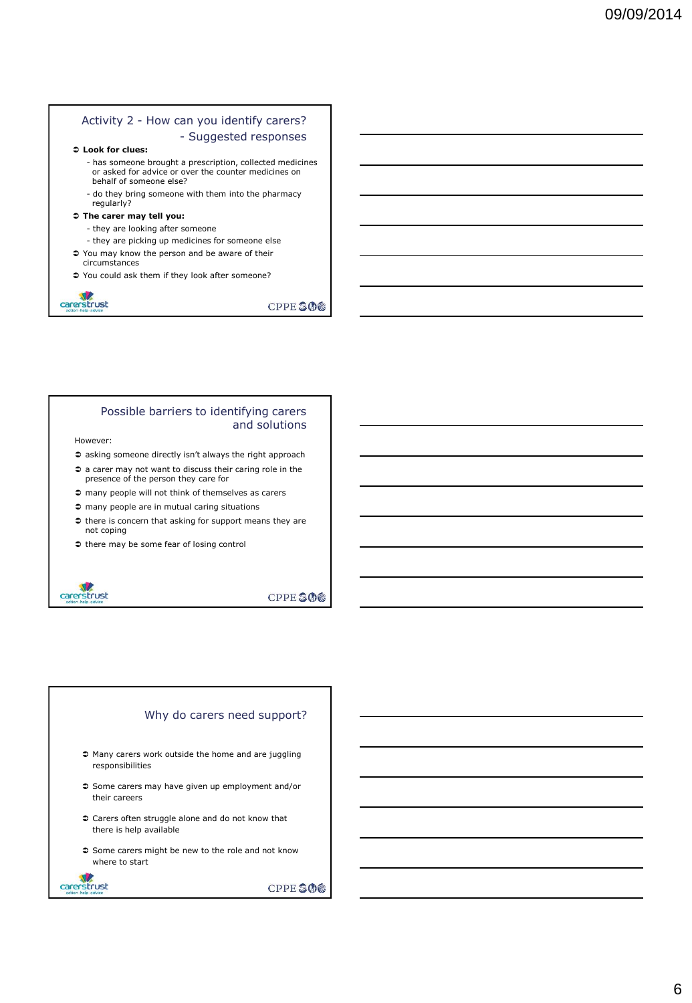## Activity 2 - How can you identify carers? - Suggested responses

#### **Look for clues:**

- has someone brought a prescription, collected medicines or asked for advice or over the counter medicines on behalf of someone else?
- do they bring someone with them into the pharmacy regularly?

#### **The carer may tell you:**

- they are looking after someone
- they are picking up medicines for someone else
- You may know the person and be aware of their circumstances
- You could ask them if they look after someone?



**CPPE SOS** 

#### Possible barriers to identifying carers and solutions

However:

- $\Rightarrow$  asking someone directly isn't always the right approach
- a carer may not want to discuss their caring role in the presence of the person they care for
- $\supset$  many people will not think of themselves as carers
- $\supset$  many people are in mutual caring situations
- $\bullet$  there is concern that asking for support means they are not coping
- $\bullet$  there may be some fear of losing control



carerstrust

**CPPE SOS** 

## Why do carers need support?

- $\Rightarrow$  Many carers work outside the home and are juggling responsibilities
- Some carers may have given up employment and/or their careers
- Carers often struggle alone and do not know that there is help available
- $\supset$  Some carers might be new to the role and not know where to start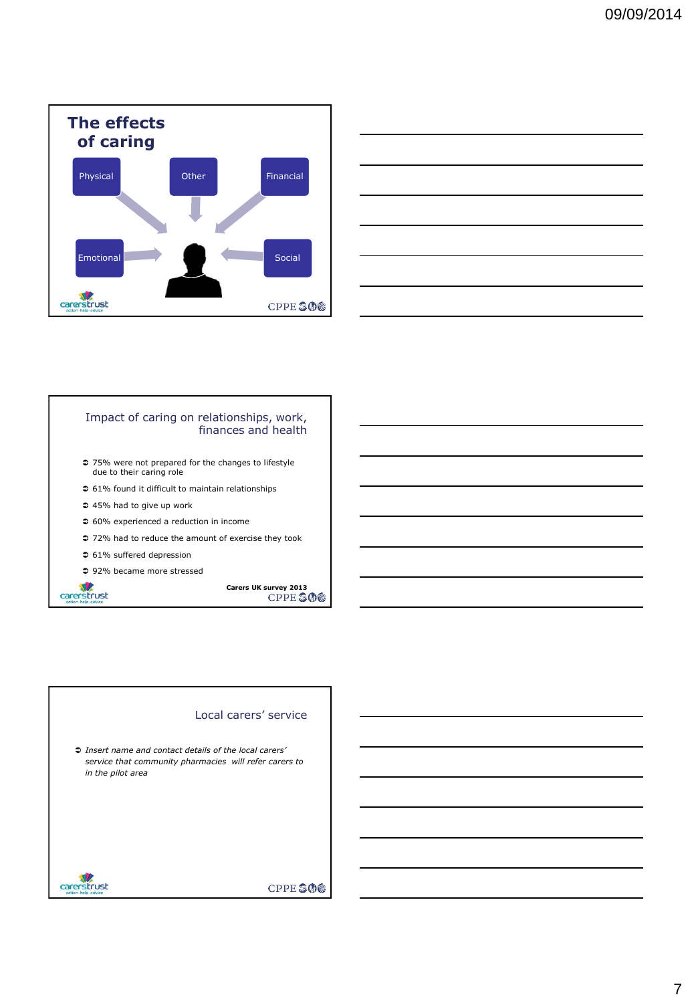



## Impact of caring on relationships, work, finances and health

- 75% were not prepared for the changes to lifestyle due to their caring role
- $\supset$  61% found it difficult to maintain relationships
- 45% had to give up work
- 60% experienced a reduction in income
- 72% had to reduce the amount of exercise they took
- 61% suffered depression
- 92% became more stressed

**Carers UK survey 2013** 

## Local carers' service

 *Insert name and contact details of the local carers' service that community pharmacies will refer carers to in the pilot area*



carerstrust

## CPPE SOG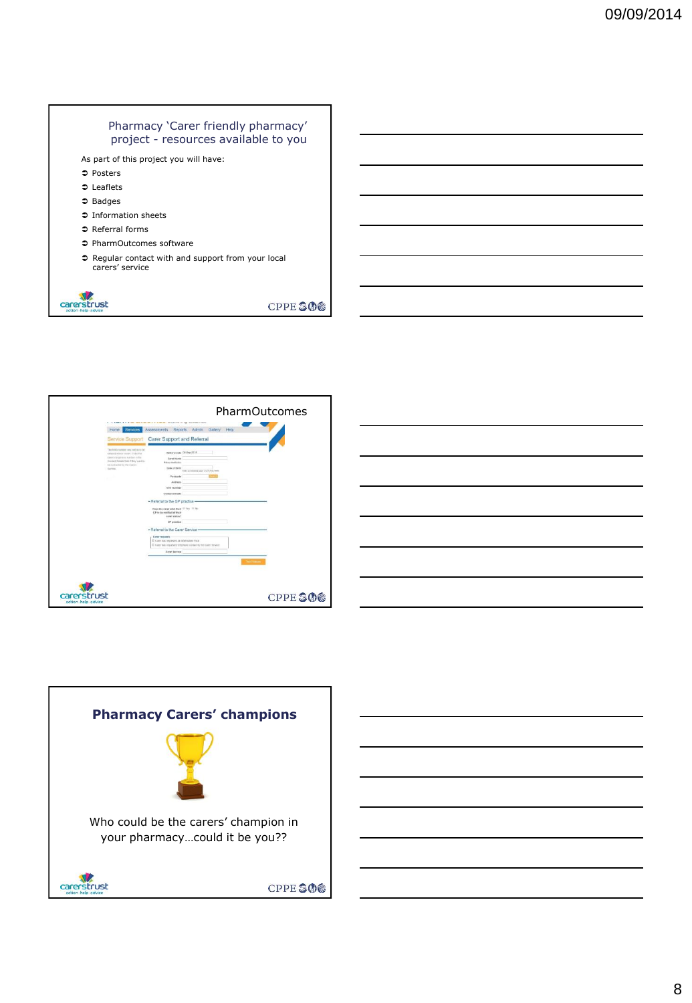## Pharmacy 'Carer friendly pharmacy' project - resources available to you

As part of this project you will have:

- $\bullet$  Posters
- **⊅** Leaflets
- $\Rightarrow$  Badges
- Information sheets
- $\heartsuit$  Referral forms
- PharmOutcomes software
- Regular contact with and support from your local carers' service



CPPE SOS







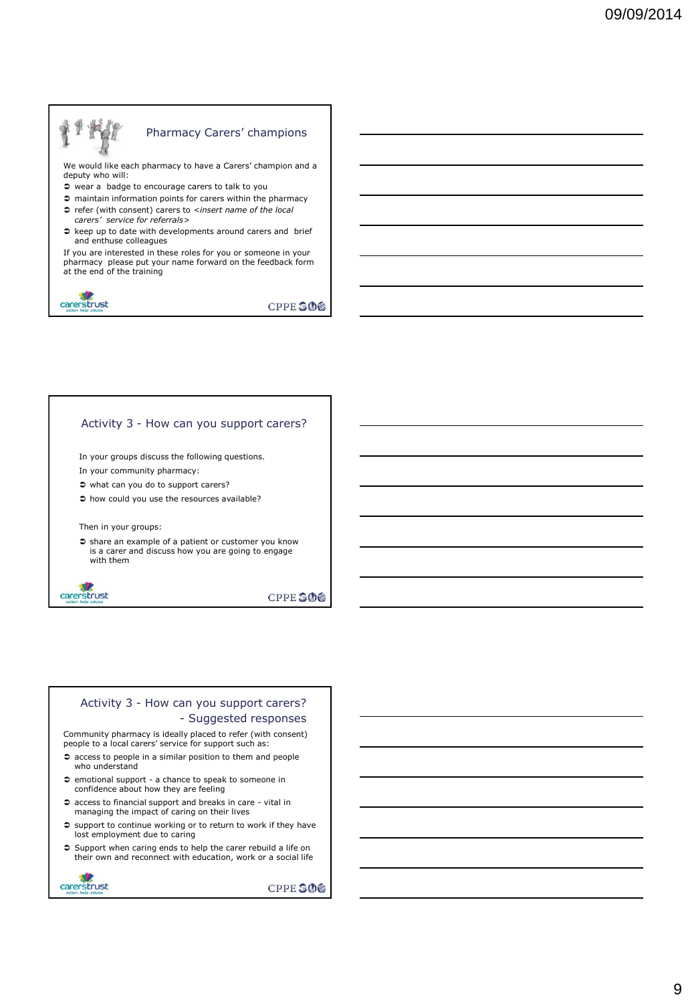# Pharmacy Carers' champions We would like each pharmacy to have a Carers' champion and a deputy who will: wear a badge to encourage carers to talk to you maintain information points for carers within the pharmacy

- refer (with consent) carers to *<insert name of the local carers' service for referrals>*
- $\Rightarrow$  keep up to date with developments around carers and brief and enthuse colleagues

If you are interested in these roles for you or someone in your pharmacy please put your name forward on the feedback form at the end of the training



**CPPE SOS** 

### Activity 3 - How can you support carers?

In your groups discuss the following questions.

- In your community pharmacy:
- $\Rightarrow$  what can you do to support carers?
- $\Rightarrow$  how could you use the resources available?

Then in your groups:

 $\supset$  share an example of a patient or customer you know is a carer and discuss how you are going to engage with them



**CPPE SOS** 

## Activity 3 - How can you support carers? - Suggested responses

Community pharmacy is ideally placed to refer (with consent) people to a local carers' service for support such as:

- access to people in a similar position to them and people who understand
- $\supset$  emotional support a chance to speak to someone in confidence about how they are feeling
- access to financial support and breaks in care vital in managing the impact of caring on their lives
- $\supset$  support to continue working or to return to work if they have lost employment due to caring
- Support when caring ends to help the carer rebuild a life on their own and reconnect with education, work or a social life

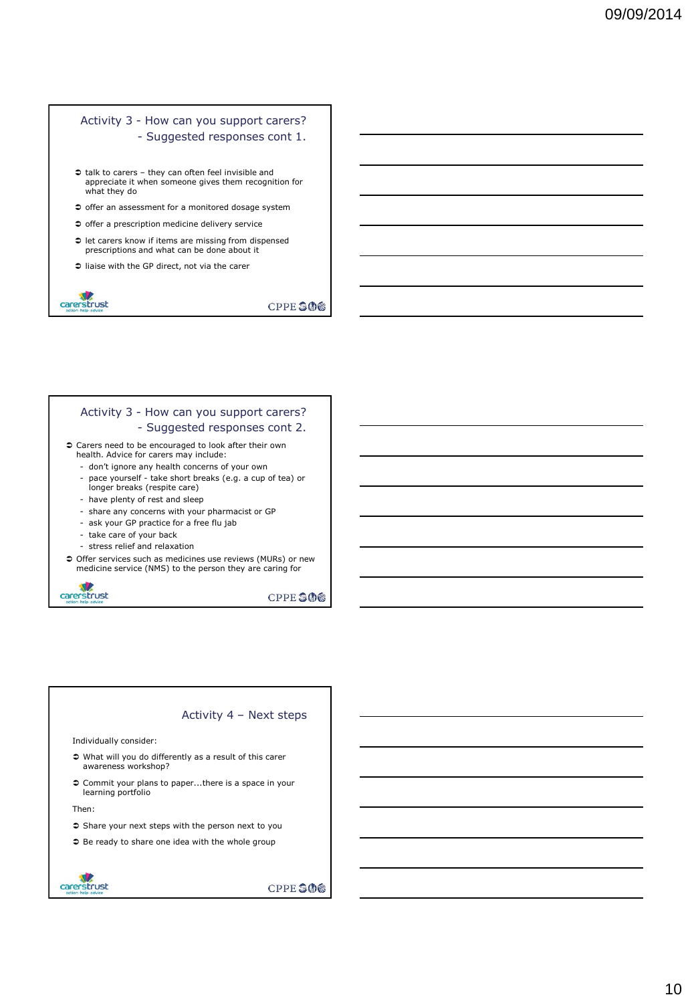# Activity 3 - How can you support carers? - Suggested responses cont 1.

- talk to carers they can often feel invisible and appreciate it when someone gives them recognition for what they do
- $\supset$  offer an assessment for a monitored dosage system
- $\supset$  offer a prescription medicine delivery service
- $\supset$  let carers know if items are missing from dispensed prescriptions and what can be done about it
- liaise with the GP direct, not via the carer



**CPPE SOS** 

# Activity 3 - How can you support carers? - Suggested responses cont 2.

- Carers need to be encouraged to look after their own health. Advice for carers may include:
	- don't ignore any health concerns of your own
	- pace yourself take short breaks (e.g. a cup of tea) or longer breaks (respite care) - have plenty of rest and sleep
	-
	- share any concerns with your pharmacist or GP
	- ask your GP practice for a free flu jab
	- take care of your back
	- stress relief and relaxation
- Offer services such as medicines use reviews (MURs) or new medicine service (NMS) to the person they are caring for



**CPPE SOS** 

#### Activity 4 – Next steps

Individually consider:

- What will you do differently as a result of this carer awareness workshop?
- Commit your plans to paper...there is a space in your learning portfolio

Then:

- $\supset$  Share your next steps with the person next to you
- $\supset$  Be ready to share one idea with the whole group